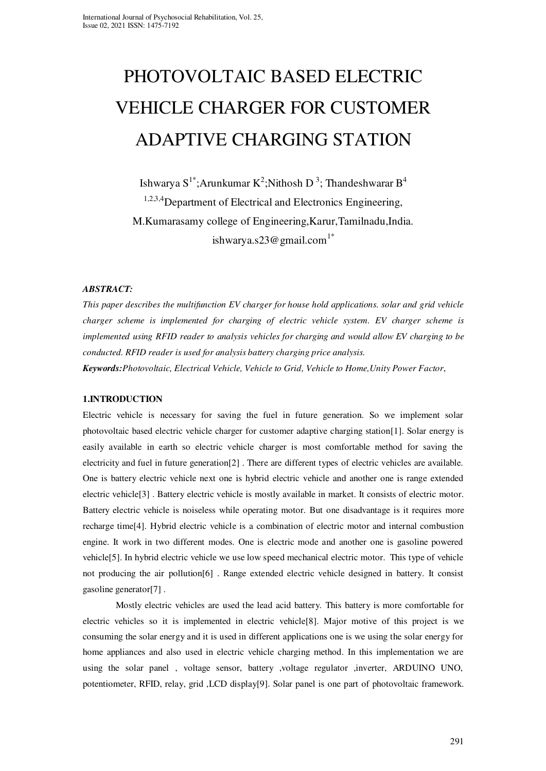# PHOTOVOLTAIC BASED ELECTRIC VEHICLE CHARGER FOR CUSTOMER ADAPTIVE CHARGING STATION

Ishwarya S $^{1^*}$ ;Arunkumar K $^2$ ;Nithosh D $^3$ ; Thandeshwarar B $^4$ <sup>1,2,3,4</sup>Department of Electrical and Electronics Engineering, M.Kumarasamy college of Engineering,Karur,Tamilnadu,India. ishwarya.s23@gmail.com<sup>1\*</sup>

#### *ABSTRACT:*

*This paper describes the multifunction EV charger for house hold applications. solar and grid vehicle charger scheme is implemented for charging of electric vehicle system. EV charger scheme is implemented using RFID reader to analysis vehicles for charging and would allow EV charging to be conducted. RFID reader is used for analysis battery charging price analysis. Keywords:Photovoltaic, Electrical Vehicle, Vehicle to Grid, Vehicle to Home,Unity Power Factor*,

#### **1.INTRODUCTION**

Electric vehicle is necessary for saving the fuel in future generation. So we implement solar photovoltaic based electric vehicle charger for customer adaptive charging station[1]. Solar energy is easily available in earth so electric vehicle charger is most comfortable method for saving the electricity and fuel in future generation[2] . There are different types of electric vehicles are available. One is battery electric vehicle next one is hybrid electric vehicle and another one is range extended electric vehicle[3] . Battery electric vehicle is mostly available in market. It consists of electric motor. Battery electric vehicle is noiseless while operating motor. But one disadvantage is it requires more recharge time[4]. Hybrid electric vehicle is a combination of electric motor and internal combustion engine. It work in two different modes. One is electric mode and another one is gasoline powered vehicle[5]. In hybrid electric vehicle we use low speed mechanical electric motor. This type of vehicle not producing the air pollution[6] . Range extended electric vehicle designed in battery. It consist gasoline generator[7] .

Mostly electric vehicles are used the lead acid battery. This battery is more comfortable for electric vehicles so it is implemented in electric vehicle[8]. Major motive of this project is we consuming the solar energy and it is used in different applications one is we using the solar energy for home appliances and also used in electric vehicle charging method. In this implementation we are using the solar panel , voltage sensor, battery ,voltage regulator ,inverter, ARDUINO UNO, potentiometer, RFID, relay, grid ,LCD display[9]. Solar panel is one part of photovoltaic framework.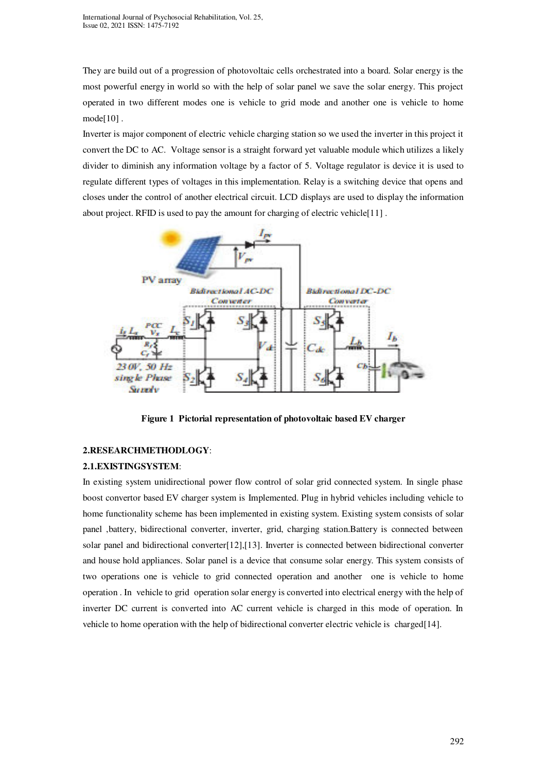They are build out of a progression of photovoltaic cells orchestrated into a board. Solar energy is the most powerful energy in world so with the help of solar panel we save the solar energy. This project operated in two different modes one is vehicle to grid mode and another one is vehicle to home mode[10] .

Inverter is major component of electric vehicle charging station so we used the inverter in this project it convert the DC to AC. Voltage sensor is a straight forward yet valuable module which utilizes a likely divider to diminish any information voltage by a factor of 5. Voltage regulator is device it is used to regulate different types of voltages in this implementation. Relay is a switching device that opens and closes under the control of another electrical circuit. LCD displays are used to display the information about project. RFID is used to pay the amount for charging of electric vehicle[11] .



**Figure 1 Pictorial representation of photovoltaic based EV charger** 

#### **2.RESEARCHMETHODLOGY**:

#### **2.1.EXISTINGSYSTEM**:

In existing system unidirectional power flow control of solar grid connected system. In single phase boost convertor based EV charger system is Implemented. Plug in hybrid vehicles including vehicle to home functionality scheme has been implemented in existing system. Existing system consists of solar panel ,battery, bidirectional converter, inverter, grid, charging station.Battery is connected between solar panel and bidirectional converter[12],[13]. Inverter is connected between bidirectional converter and house hold appliances. Solar panel is a device that consume solar energy. This system consists of two operations one is vehicle to grid connected operation and another one is vehicle to home operation . In vehicle to grid operation solar energy is converted into electrical energy with the help of inverter DC current is converted into AC current vehicle is charged in this mode of operation. In vehicle to home operation with the help of bidirectional converter electric vehicle is charged[14].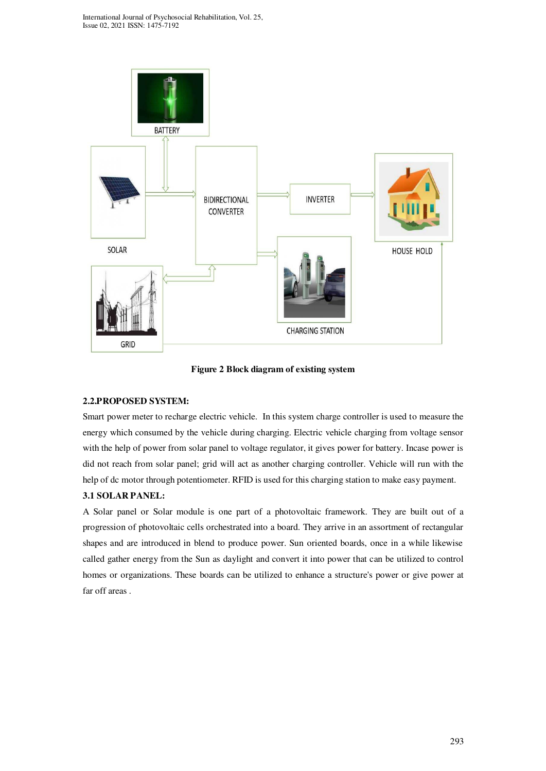

**Figure 2 Block diagram of existing system** 

## **2.2.PROPOSED SYSTEM:**

Smart power meter to recharge electric vehicle. In this system charge controller is used to measure the energy which consumed by the vehicle during charging. Electric vehicle charging from voltage sensor with the help of power from solar panel to voltage regulator, it gives power for battery. Incase power is did not reach from solar panel; grid will act as another charging controller. Vehicle will run with the help of dc motor through potentiometer. RFID is used for this charging station to make easy payment. **3.1 SOLAR PANEL:** 

A Solar panel or Solar module is one part of a photovoltaic framework. They are built out of a progression of photovoltaic cells orchestrated into a board. They arrive in an assortment of rectangular shapes and are introduced in blend to produce power. Sun oriented boards, once in a while likewise called gather energy from the Sun as daylight and convert it into power that can be utilized to control homes or organizations. These boards can be utilized to enhance a structure's power or give power at far off areas .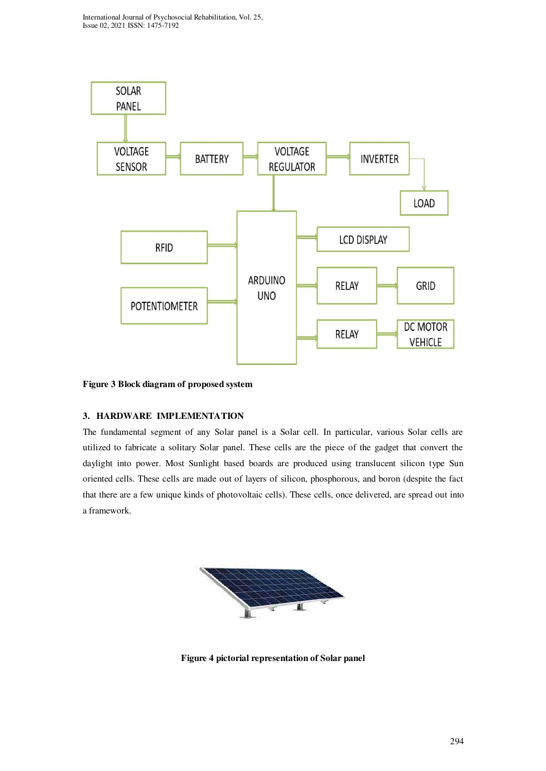

**Figure 3 Block diagram of proposed system** 

## **3. HARDWARE IMPLEMENTATION**

The fundamental segment of any Solar panel is a Solar cell. In particular, various Solar cells are utilized to fabricate a solitary Solar panel. These cells are the piece of the gadget that convert the daylight into power. Most Sunlight based boards are produced using translucent silicon type Sun oriented cells. These cells are made out of layers of silicon, phosphorous, and boron (despite the fact that there are a few unique kinds of photovoltaic cells). These cells, once delivered, are spread out into a framework.



**Figure 4 pictorial representation of Solar panel**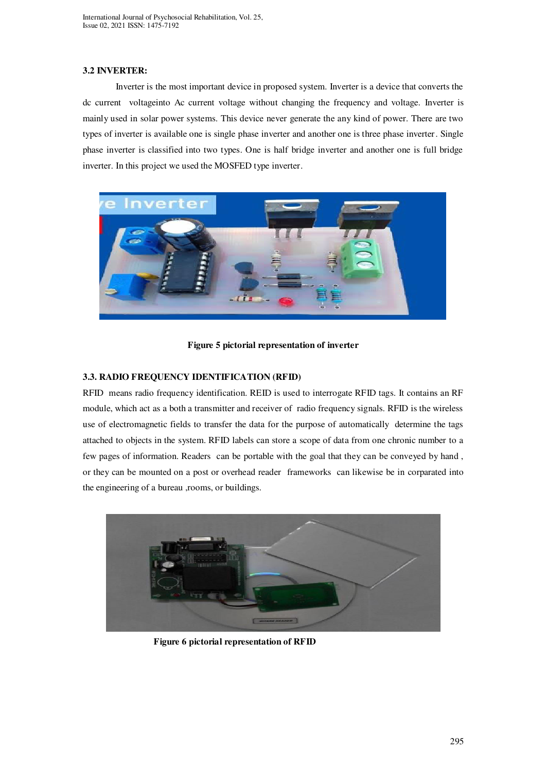#### **3.2 INVERTER:**

Inverter is the most important device in proposed system. Inverter is a device that converts the dc current voltageinto Ac current voltage without changing the frequency and voltage. Inverter is mainly used in solar power systems. This device never generate the any kind of power. There are two types of inverter is available one is single phase inverter and another one is three phase inverter. Single phase inverter is classified into two types. One is half bridge inverter and another one is full bridge inverter. In this project we used the MOSFED type inverter.





## **3.3. RADIO FREQUENCY IDENTIFICATION (RFID)**

RFID means radio frequency identification. REID is used to interrogate RFID tags. It contains an RF module, which act as a both a transmitter and receiver of radio frequency signals. RFID is the wireless use of electromagnetic fields to transfer the data for the purpose of automatically determine the tags attached to objects in the system. RFID labels can store a scope of data from one chronic number to a few pages of information. Readers can be portable with the goal that they can be conveyed by hand , or they can be mounted on a post or overhead reader frameworks can likewise be in corparated into the engineering of a bureau ,rooms, or buildings.



 **Figure 6 pictorial representation of RFID**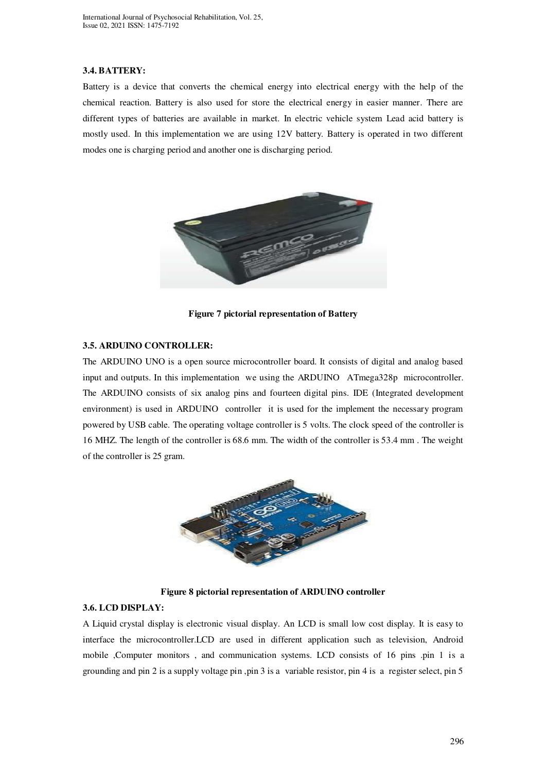#### **3.4. BATTERY:**

Battery is a device that converts the chemical energy into electrical energy with the help of the chemical reaction. Battery is also used for store the electrical energy in easier manner. There are different types of batteries are available in market. In electric vehicle system Lead acid battery is mostly used. In this implementation we are using 12V battery. Battery is operated in two different modes one is charging period and another one is discharging period.



**Figure 7 pictorial representation of Battery** 

#### **3.5. ARDUINO CONTROLLER:**

The ARDUINO UNO is a open source microcontroller board. It consists of digital and analog based input and outputs. In this implementation we using the ARDUINO ATmega328p microcontroller. The ARDUINO consists of six analog pins and fourteen digital pins. IDE (Integrated development environment) is used in ARDUINO controller it is used for the implement the necessary program powered by USB cable. The operating voltage controller is 5 volts. The clock speed of the controller is 16 MHZ. The length of the controller is 68.6 mm. The width of the controller is 53.4 mm . The weight of the controller is 25 gram.



**Figure 8 pictorial representation of ARDUINO controller** 

#### **3.6. LCD DISPLAY:**

A Liquid crystal display is electronic visual display. An LCD is small low cost display. It is easy to interface the microcontroller.LCD are used in different application such as television, Android mobile ,Computer monitors, and communication systems. LCD consists of 16 pins .pin 1 is a grounding and pin 2 is a supply voltage pin ,pin 3 is a variable resistor, pin 4 is a register select, pin 5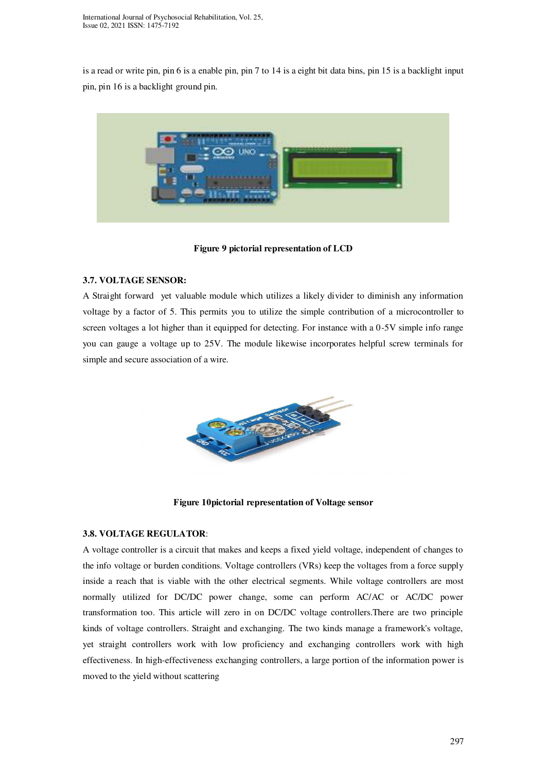is a read or write pin, pin 6 is a enable pin, pin 7 to 14 is a eight bit data bins, pin 15 is a backlight input pin, pin 16 is a backlight ground pin.



**Figure 9 pictorial representation of LCD** 

## **3.7. VOLTAGE SENSOR:**

A Straight forward yet valuable module which utilizes a likely divider to diminish any information voltage by a factor of 5. This permits you to utilize the simple contribution of a microcontroller to screen voltages a lot higher than it equipped for detecting. For instance with a 0-5V simple info range you can gauge a voltage up to 25V. The module likewise incorporates helpful screw terminals for simple and secure association of a wire.



**Figure 10pictorial representation of Voltage sensor** 

#### **3.8. VOLTAGE REGULATOR**:

A voltage controller is a circuit that makes and keeps a fixed yield voltage, independent of changes to the info voltage or burden conditions. Voltage controllers (VRs) keep the voltages from a force supply inside a reach that is viable with the other electrical segments. While voltage controllers are most normally utilized for DC/DC power change, some can perform AC/AC or AC/DC power transformation too. This article will zero in on DC/DC voltage controllers.There are two principle kinds of voltage controllers. Straight and exchanging. The two kinds manage a framework's voltage, yet straight controllers work with low proficiency and exchanging controllers work with high effectiveness. In high-effectiveness exchanging controllers, a large portion of the information power is moved to the yield without scattering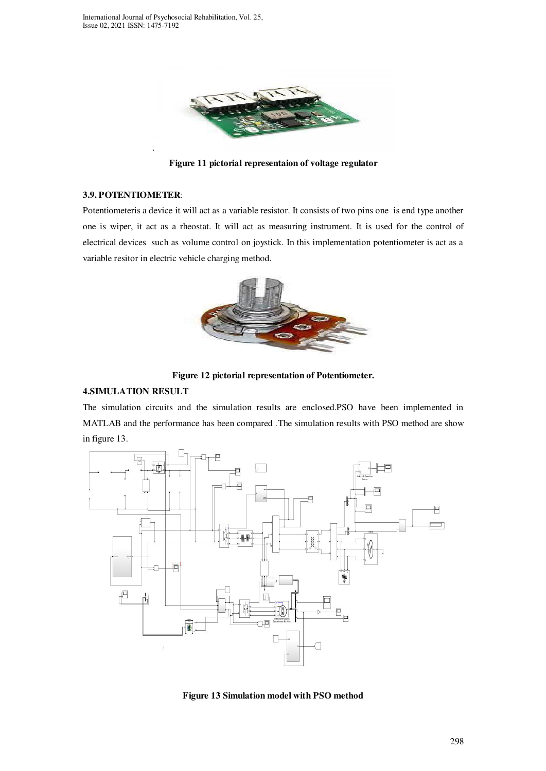

**Figure 11 pictorial representaion of voltage regulator** 

#### **3.9. POTENTIOMETER**:

.

Potentiometeris a device it will act as a variable resistor. It consists of two pins one is end type another one is wiper, it act as a rheostat. It will act as measuring instrument. It is used for the control of electrical devices such as volume control on joystick. In this implementation potentiometer is act as a variable resitor in electric vehicle charging method.



**Figure 12 pictorial representation of Potentiometer.** 

# **4.SIMULATION RESULT**

The simulation circuits and the simulation results are enclosed.PSO have been implemented in MATLAB and the performance has been compared .The simulation results with PSO method are show in figure 13.



**Figure 13 Simulation model with PSO method**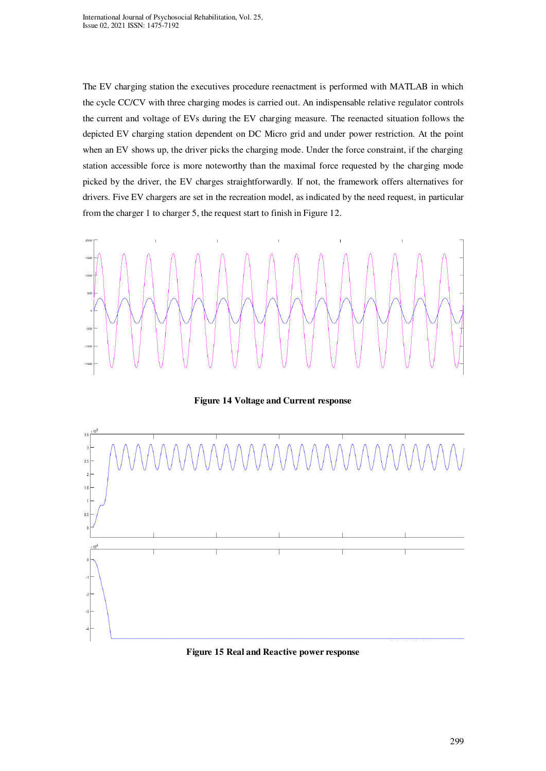The EV charging station the executives procedure reenactment is performed with MATLAB in which the cycle CC/CV with three charging modes is carried out. An indispensable relative regulator controls the current and voltage of EVs during the EV charging measure. The reenacted situation follows the depicted EV charging station dependent on DC Micro grid and under power restriction. At the point when an EV shows up, the driver picks the charging mode. Under the force constraint, if the charging station accessible force is more noteworthy than the maximal force requested by the charging mode picked by the driver, the EV charges straightforwardly. If not, the framework offers alternatives for drivers. Five EV chargers are set in the recreation model, as indicated by the need request, in particular from the charger 1 to charger 5, the request start to finish in Figure 12.



**Figure 14 Voltage and Current response** 



#### **Figure 15 Real and Reactive power response**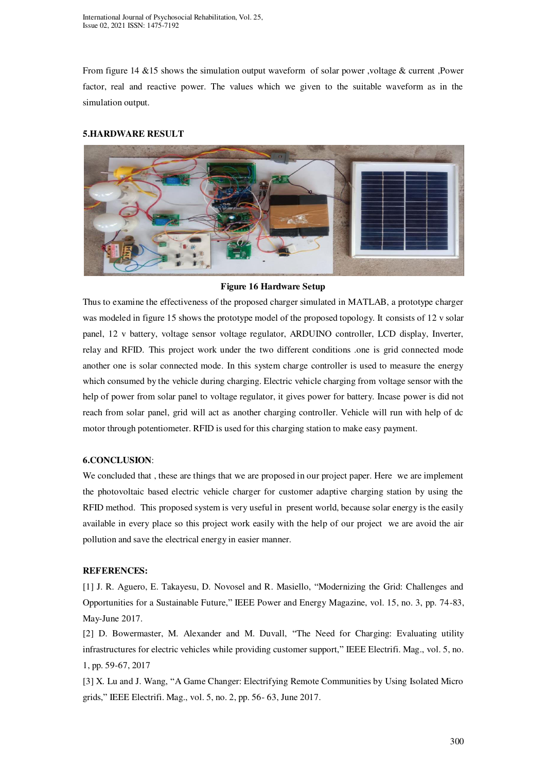From figure 14 &15 shows the simulation output waveform of solar power , voltage & current ,Power factor, real and reactive power. The values which we given to the suitable waveform as in the simulation output.

## **5.HARDWARE RESULT**



#### **Figure 16 Hardware Setup**

Thus to examine the effectiveness of the proposed charger simulated in MATLAB, a prototype charger was modeled in figure 15 shows the prototype model of the proposed topology. It consists of 12 v solar panel, 12 v battery, voltage sensor voltage regulator, ARDUINO controller, LCD display, Inverter, relay and RFID. This project work under the two different conditions .one is grid connected mode another one is solar connected mode. In this system charge controller is used to measure the energy which consumed by the vehicle during charging. Electric vehicle charging from voltage sensor with the help of power from solar panel to voltage regulator, it gives power for battery. Incase power is did not reach from solar panel, grid will act as another charging controller. Vehicle will run with help of dc motor through potentiometer. RFID is used for this charging station to make easy payment.

#### **6.CONCLUSION**:

We concluded that, these are things that we are proposed in our project paper. Here we are implement the photovoltaic based electric vehicle charger for customer adaptive charging station by using the RFID method. This proposed system is very useful in present world, because solar energy is the easily available in every place so this project work easily with the help of our project we are avoid the air pollution and save the electrical energy in easier manner.

#### **REFERENCES:**

[1] J. R. Aguero, E. Takayesu, D. Novosel and R. Masiello, "Modernizing the Grid: Challenges and Opportunities for a Sustainable Future," IEEE Power and Energy Magazine, vol. 15, no. 3, pp. 74-83, May-June 2017.

[2] D. Bowermaster, M. Alexander and M. Duvall, "The Need for Charging: Evaluating utility infrastructures for electric vehicles while providing customer support," IEEE Electrifi. Mag., vol. 5, no. 1, pp. 59-67, 2017

[3] X. Lu and J. Wang, "A Game Changer: Electrifying Remote Communities by Using Isolated Micro grids," IEEE Electrifi. Mag., vol. 5, no. 2, pp. 56- 63, June 2017.